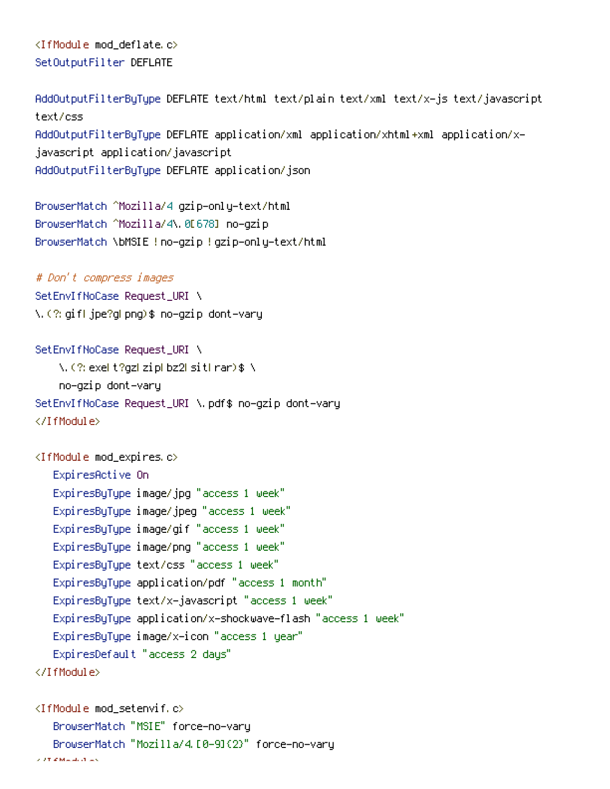<IfModule mod\_deflate.c> SetOutputFilter DEFLATE

AddOutputFilterByType DEFLATE text/html text/plain text/xml text/x-js text/javascript text/css AddOutputFilterByType DEFLATE application/xml application/xhtml+xml application/xjavascript application/javascript AddOutputFilterByType DEFLATE application/json

BrowserMatch ^Mozilla/4 gzip-only-text/html BrowserMatch ^Mozilla/4\.0[678] no-gzip BrowserMatch \bMSIE !no-gzip !gzip-only-text/html

## # Don't compress images

SetEnvIfNoCase Request\_URI \ \.(?:gif|jpe?g|png)\$ no-gzip dont-vary

## SetEnvIfNoCase Request\_URI \

\.(?:exe|t?gz|zip|bz2|sit|rar)\$ \ no-gzip dont-vary SetEnvIfNoCase Request\_URI \.pdf\$ no-gzip dont-vary </IfModule>

```
<IfModule mod_expires.c>
   ExpiresActive On
   ExpiresByType image/jpg "access 1 week"
   ExpiresByType image/jpeg "access 1 week"
   ExpiresByType image/gif "access 1 week"
   ExpiresByType image/png "access 1 week"
   ExpiresByType text/css "access 1 week"
   ExpiresByType application/pdf "access 1 month"
   ExpiresByType text/x-javascript "access 1 week"
   ExpiresByType application/x-shockwave-flash "access 1 week"
   ExpiresByType image/x-icon "access 1 year"
   ExpiresDefault "access 2 days"
</IfModule>
```

```
<IfModule mod_setenvif.c>
     BrowserMatch "MSIE" force-no-vary
     BrowserMatch "Mozilla/4.[0-9]{2}" force-no-vary
\lambda , \lambda with a set of the set of the set of the set of the set of the set of
```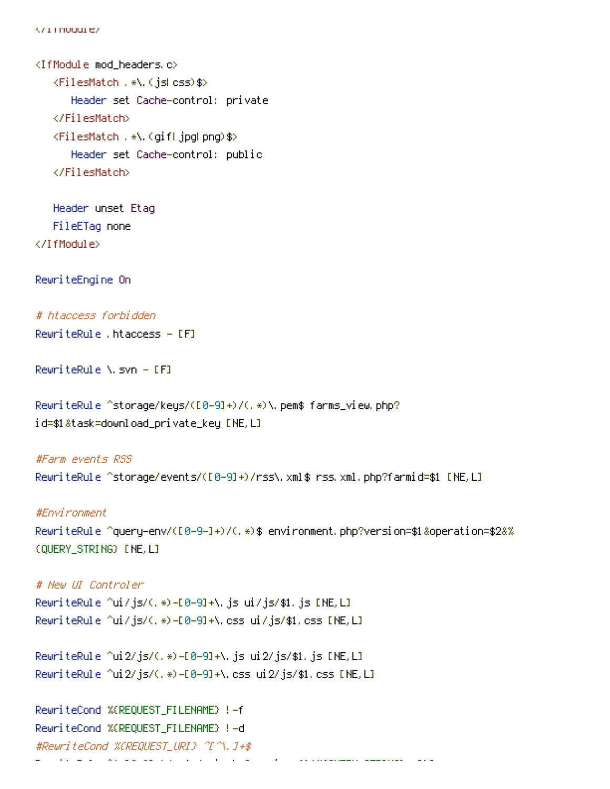$\sqrt{1}$  Triodule>

<IfModule mod\_headers.c> <FilesMatch .\*\.(js|css)\$> Header set Cache-control: private </FilesMatch> <FilesMatch .\*\.(gif|jpg|png)\$> Header set Cache-control: public </FilesMatch>

Header unset Etag FileETag none </IfModule>

RewriteEngine On

# htaccess forbidden

RewriteRule .htaccess - [F]

RewriteRule \.svn - [F]

RewriteRule ^storage/keys/([0-9]+)/(.\*)\.pem\$ farms\_view.php? id=\$1&task=download\_private\_key [NE,L]

#Farm events RSS RewriteRule ^storage/events/([0-9]+)/rss\.xml\$ rss.xml.php?farmid=\$1 [NE,L]

#Environment RewriteRule ^query-env/([0-9-]+)/(.\*)\$ environment.php?version=\$1&operation=\$2&% {QUERY\_STRING} [NE,L]

# New UI Controler RewriteRule ^ui/js/(.\*)-[0-9]+\.js ui/js/\$1.js [NE,L] RewriteRule ^ui/js/(.\*)-[0-9]+\.css ui/js/\$1.css [NE,L]

RewriteRule ^ui2/js/(.\*)-[0-9]+\.js ui2/js/\$1.js [NE,L] RewriteRule ^ui2/js/(.\*)-[0-9]+\.css ui2/js/\$1.css [NE,L]

RewriteCond %{REQUEST\_FILENAME} !-f RewriteCond %{REQUEST\_FILENAME} !-d #RewriteCond %{REQUEST\_URI} ^[^\.]+\$  $R = \frac{1}{2}$  /api.  $\frac{1}{2}$  /api. php?version=  $\frac{1}{2}$